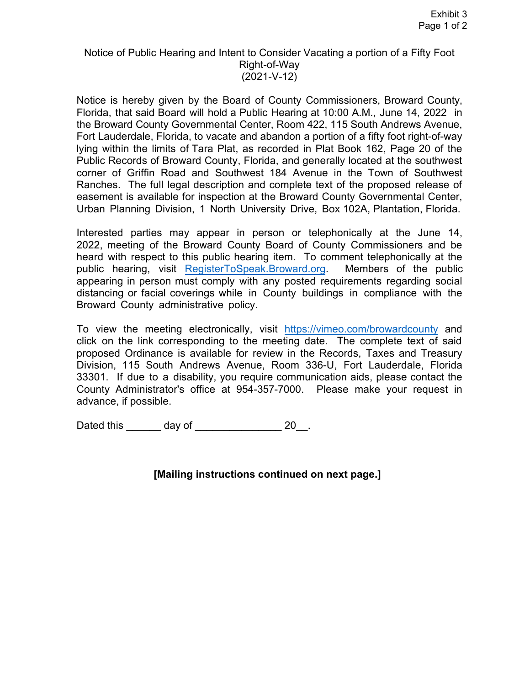## Notice of Public Hearing and Intent to Consider Vacating a portion of a Fifty Foot Right-of-Way (2021-V-12)

 Notice is hereby given by the Board of County Commissioners, Broward County, Florida, that said Board will hold a Public Hearing at 10:00 A.M., June 14, 2022 in Ranches. The full legal description and complete text of the proposed release of easement is available for inspection at the Broward County Governmental Center, Urban Planning Division, 1 North University Drive, Box 102A, Plantation, Florida. the Broward County Governmental Center, Room 422, 115 South Andrews Avenue, Fort Lauderdale, Florida, to vacate and abandon a portion of a fifty foot right-of-way lying within the limits of Tara Plat, as recorded in Plat Book 162, Page 20 of the Public Records of Broward County, Florida, and generally located at the southwest corner of Griffin Road and Southwest 184 Avenue in the Town of Southwest

 2022, meeting of the Broward County Board of County Commissioners and be Members of the public Interested parties may appear in person or telephonically at the June 14, heard with respect to this public hearing item. To comment telephonically at the public hearing, visit RegisterToSpeak.Broward.org appearing in person must comply with any posted requirements regarding social distancing or facial coverings while in County buildings in compliance with the Broward County administrative policy.

 33301. If due to a disability, you require communication aids, please contact the To view the meeting electronically, visit <https://vimeo.com/browardcounty> and click on the link corresponding to the meeting date. The complete text of said proposed Ordinance is available for review in the Records, Taxes and Treasury Division, 115 South Andrews Avenue, Room 336-U, Fort Lauderdale, Florida County Administrator's office at 954-357-7000. Please make your request in advance, if possible.

Dated this \_\_\_\_\_\_ day of \_\_\_\_\_\_\_\_\_\_\_\_\_\_\_ 20\_\_.

**[Mailing instructions continued on next page.]**